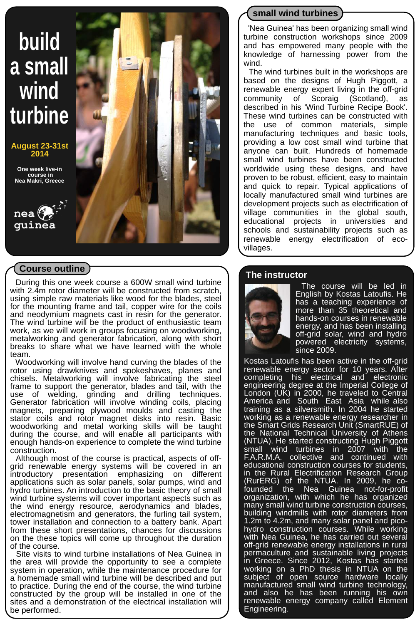# **build a small wind turbine**

**August 23-31st 2014**

**One week live-in course in Nea Makri, Greece**



## **Course outline**

 During this one week course a 600W small wind turbine with 2.4m rotor diameter will be constructed from scratch, using simple raw materials like wood for the blades, steel for the mounting frame and tail, copper wire for the coils and neodymium magnets cast in resin for the generator. The wind turbine will be the product of enthusiastic team work, as we will work in groups focusing on woodworking, metalworking and generator fabrication, along with short breaks to share what we have learned with the whole team.

 Woodworking will involve hand curving the blades of the rotor using drawknives and spokeshaves, planes and chisels. Metalworking will involve fabricating the steel frame to support the generator, blades and tail, with the use of welding, grinding and drilling techniques. grinding and drilling techniques. Generator fabrication will involve winding coils, placing magnets, preparing plywood moulds and casting the stator coils and rotor magnet disks into resin. Basic woodworking and metal working skills will be taught during the course, and will enable all participants with enough hands-on experience to complete the wind turbine construction.

 Although most of the course is practical, aspects of offgrid renewable energy systems will be covered in an introductory presentation emphasizing on different applications such as solar panels, solar pumps, wind and hydro turbines. An introduction to the basic theory of small wind turbine systems will cover important aspects such as the wind energy resource, aerodynamics and blades, electromagnetism and generators, the furling tail system, tower installation and connection to a battery bank. Apart from these short presentations, chances for discussions on the these topics will come up throughout the duration of the course.

 Site visits to wind turbine installations of Nea Guinea in the area will provide the opportunity to see a complete system in operation, while the maintenance procedure for a homemade small wind turbine will be described and put to practice. During the end of the course, the wind turbine constructed by the group will be installed in one of the sites and a demonstration of the electrical installation will be performed.

## **small wind turbines**

 'Nea Guinea' has been organizing small wind turbine construction workshops since 2009 and has empowered many people with the knowledge of harnessing power from the wind.

 The wind turbines built in the workshops are based on the designs of Hugh Piggott, a renewable energy expert living in the off-grid community of Scoraig (Scotland), as described in his 'Wind Turbine Recipe Book'. These wind turbines can be constructed with the use of common materials, simple manufacturing techniques and basic tools, providing a low cost small wind turbine that anyone can built. Hundreds of homemade small wind turbines have been constructed worldwide using these designs, and have proven to be robust, efficient, easy to maintain and quick to repair. Typical applications of locally manufactured small wind turbines are development projects such as electrification of village communities in the global south, educational projects in universities and schools and sustainability projects such as renewable energy electrification of ecovillages.

#### **The instructor**



 The course will be led in English by Kostas Latoufis. He has a teaching experience of more than 35 theoretical and hands-on courses in renewable energy, and has been installing off-grid solar, wind and hydro powered electricity systems, since 2009.

Kostas Latoufis has been active in the off-grid renewable energy sector for 10 years. After completing his electrical and electronic engineering degree at the Imperial College of London (UK) in 2000, he traveled to Central America and South East Asia while also training as a silversmith. In 2004 he started working as a renewable energy researcher in the Smart Grids Research Unit (SmartRUE) of the National Technical University of Athens (NTUA). He started constructing Hugh Piggott small wind turbines in 2007 with the F.A.R.M.A. collective and continued with educational construction courses for students, in the Rural Electrification Research Group (RurERG) of the NTUA. In 2009, he cofounded the Nea Guinea not-for-profit organization, with which he has organized many small wind turbine construction courses, building windmills with rotor diameters from 1.2m to 4.2m, and many solar panel and picohydro construction courses. While working with Nea Guinea, he has carried out several off-grid renewable energy installations in rural permaculture and sustainable living projects in Greece. Since 2012, Kostas has started working on a PhD thesis in NTUA on the subject of open source hardware locally manufactured small wind turbine technology, and also he has been running his own renewable energy company called Element Engineering.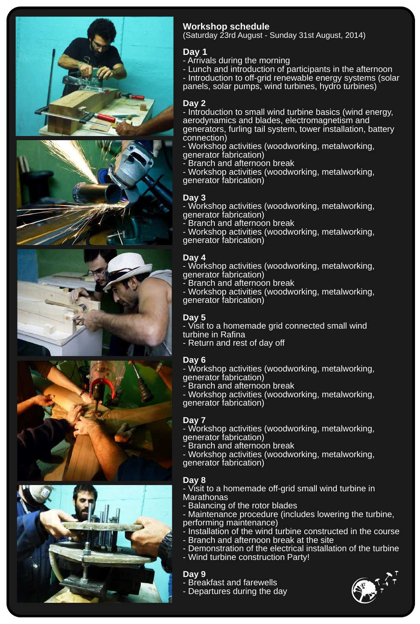









## **Workshop schedule**

(Saturday 23rd August - Sunday 31st August, 2014)

#### **Day 1**

- Arrivals during the morning

- Lunch and introduction of participants in the afternoon - Introduction to off-grid renewable energy systems (solar panels, solar pumps, wind turbines, hydro turbines)

## **Day 2**

- Introduction to small wind turbine basics (wind energy, aerodynamics and blades, electromagnetism and generators, furling tail system, tower installation, battery connection)

- Workshop activities (woodworking, metalworking, generator fabrication)
- Branch and afternoon break

- Workshop activities (woodworking, metalworking, generator fabrication)

#### **Day 3**

- Workshop activities (woodworking, metalworking, generator fabrication)

- Branch and afternoon break

- Workshop activities (woodworking, metalworking, generator fabrication)

#### **Day 4**

- Workshop activities (woodworking, metalworking, generator fabrication)

- Branch and afternoon break

- Workshop activities (woodworking, metalworking, generator fabrication)

## **Day 5**

- Visit to a homemade grid connected small wind turbine in Rafina

- Return and rest of day off

## **Day 6**

- Workshop activities (woodworking, metalworking, generator fabrication)

- Branch and afternoon break

- Workshop activities (woodworking, metalworking, generator fabrication)

## **Day 7**

- Workshop activities (woodworking, metalworking, generator fabrication)

- Branch and afternoon break

- Workshop activities (woodworking, metalworking, generator fabrication)

## **Day 8**

- Visit to a homemade off-grid small wind turbine in **Marathonas** 

- Balancing of the rotor blades

- Maintenance procedure (includes lowering the turbine, performing maintenance)

- Installation of the wind turbine constructed in the course
- Branch and afternoon break at the site
- Demonstration of the electrical installation of the turbine
- Wind turbine construction Party!

#### **Day 9**

- Breakfast and farewells - Departures during the day
-